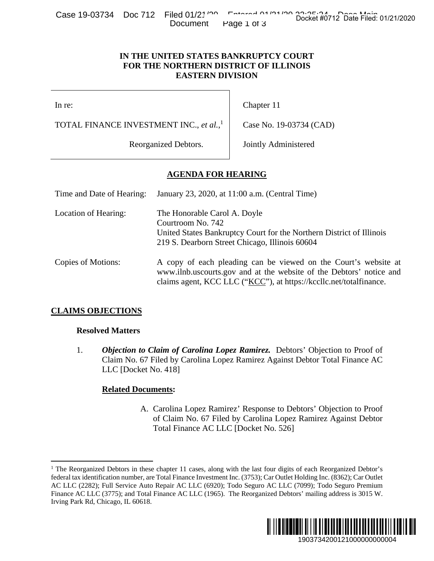Case 19-03734 Doc 712 Filed 01/21<sup>100</sup> Entered 01/01/21 200 Docket #0712 Date Filed: 01/21/2020 Document Page 1 of 3

# **IN THE UNITED STATES BANKRUPTCY COURT FOR THE NORTHERN DISTRICT OF ILLINOIS EASTERN DIVISION**

# **AGENDA FOR HEARING**

| ANTICITION<br>U U U L L                                                                                                                                                                                                                                                                                                                                                                                                                                                                                | <b>THEY VILL</b><br>Document                                                                              | Page 1 of 3                                                                                                                                                                                                  | Docket #0712 Date Filed: 01/21/2020                                                                                                                                                                                                                                                                         |
|--------------------------------------------------------------------------------------------------------------------------------------------------------------------------------------------------------------------------------------------------------------------------------------------------------------------------------------------------------------------------------------------------------------------------------------------------------------------------------------------------------|-----------------------------------------------------------------------------------------------------------|--------------------------------------------------------------------------------------------------------------------------------------------------------------------------------------------------------------|-------------------------------------------------------------------------------------------------------------------------------------------------------------------------------------------------------------------------------------------------------------------------------------------------------------|
|                                                                                                                                                                                                                                                                                                                                                                                                                                                                                                        | IN THE UNITED STATES BANKRUPTCY COURT<br>FOR THE NORTHERN DISTRICT OF ILLINOIS<br><b>EASTERN DIVISION</b> |                                                                                                                                                                                                              |                                                                                                                                                                                                                                                                                                             |
| In re:                                                                                                                                                                                                                                                                                                                                                                                                                                                                                                 |                                                                                                           | Chapter 11                                                                                                                                                                                                   |                                                                                                                                                                                                                                                                                                             |
| TOTAL FINANCE INVESTMENT INC., et al., <sup>1</sup>                                                                                                                                                                                                                                                                                                                                                                                                                                                    |                                                                                                           | Case No. 19-03734 (CAD)                                                                                                                                                                                      |                                                                                                                                                                                                                                                                                                             |
| Reorganized Debtors.                                                                                                                                                                                                                                                                                                                                                                                                                                                                                   |                                                                                                           | Jointly Administered                                                                                                                                                                                         |                                                                                                                                                                                                                                                                                                             |
|                                                                                                                                                                                                                                                                                                                                                                                                                                                                                                        | <b>AGENDA FOR HEARING</b>                                                                                 |                                                                                                                                                                                                              |                                                                                                                                                                                                                                                                                                             |
| Time and Date of Hearing:<br>January 23, 2020, at 11:00 a.m. (Central Time)                                                                                                                                                                                                                                                                                                                                                                                                                            |                                                                                                           |                                                                                                                                                                                                              |                                                                                                                                                                                                                                                                                                             |
| Location of Hearing:<br>The Honorable Carol A. Doyle<br>Courtroom No. 742                                                                                                                                                                                                                                                                                                                                                                                                                              |                                                                                                           | United States Bankruptcy Court for the Northern District of Illinois<br>219 S. Dearborn Street Chicago, Illinois 60604                                                                                       |                                                                                                                                                                                                                                                                                                             |
| Copies of Motions:                                                                                                                                                                                                                                                                                                                                                                                                                                                                                     |                                                                                                           | A copy of each pleading can be viewed on the Court's website at<br>www.ilnb.uscourts.gov and at the website of the Debtors' notice and<br>claims agent, KCC LLC ("KCC"), at https://kccllc.net/totalfinance. |                                                                                                                                                                                                                                                                                                             |
| <b>CLAIMS OBJECTIONS</b>                                                                                                                                                                                                                                                                                                                                                                                                                                                                               |                                                                                                           |                                                                                                                                                                                                              |                                                                                                                                                                                                                                                                                                             |
| <b>Resolved Matters</b><br>1.<br>LLC [Docket No. 418]<br><b>Related Documents:</b>                                                                                                                                                                                                                                                                                                                                                                                                                     | Total Finance AC LLC [Docket No. 526]                                                                     |                                                                                                                                                                                                              | <b>Objection to Claim of Carolina Lopez Ramirez.</b> Debtors' Objection to Proof of<br>Claim No. 67 Filed by Carolina Lopez Ramirez Against Debtor Total Finance AC<br>A. Carolina Lopez Ramirez' Response to Debtors' Objection to Proof<br>of Claim No. 67 Filed by Carolina Lopez Ramirez Against Debtor |
| The Reorganized Debtors in these chapter 11 cases, along with the last four digits of each Reorganized Debtor's<br>ederal tax identification number, are Total Finance Investment Inc. (3753); Car Outlet Holding Inc. (8362); Car Outlet<br>AC LLC (2282); Full Service Auto Repair AC LLC (6920); Todo Seguro AC LLC (7099); Todo Seguro Premium<br>Finance AC LLC (3775); and Total Finance AC LLC (1965). The Reorganized Debtors' mailing address is 3015 W.<br>rving Park Rd, Chicago, IL 60618. |                                                                                                           |                                                                                                                                                                                                              | 1903734200121000000000004                                                                                                                                                                                                                                                                                   |

# **CLAIMS OBJECTIONS**

 $\overline{a}$ 

## **Resolved Matters**

## **Related Documents:**

<sup>&</sup>lt;sup>1</sup> The Reorganized Debtors in these chapter 11 cases, along with the last four digits of each Reorganized Debtor's federal tax identification number, are Total Finance Investment Inc. (3753); Car Outlet Holding Inc. (8362); Car Outlet AC LLC (2282); Full Service Auto Repair AC LLC (6920); Todo Seguro AC LLC (7099); Todo Seguro Premium Finance AC LLC (3775); and Total Finance AC LLC (1965). The Reorganized Debtors' mailing address is 3015 W. Irving Park Rd, Chicago, IL 60618.

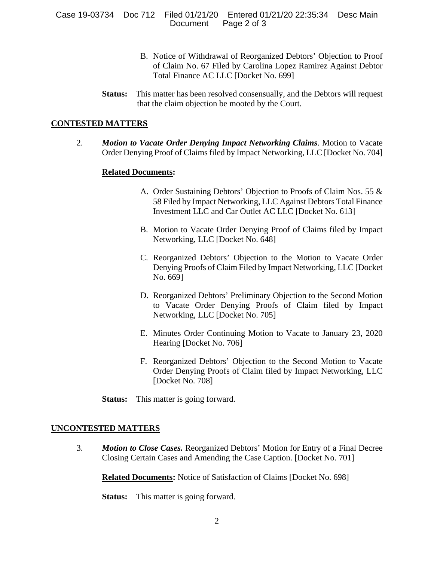#### Case 19-03734 Doc 712 Filed 01/21/20 Entered 01/21/20 22:35:34 Desc Main Document Page 2 of 3

- B. Notice of Withdrawal of Reorganized Debtors' Objection to Proof of Claim No. 67 Filed by Carolina Lopez Ramirez Against Debtor Total Finance AC LLC [Docket No. 699]
- **Status:** This matter has been resolved consensually, and the Debtors will request that the claim objection be mooted by the Court.

# **CONTESTED MATTERS**

2. *Motion to Vacate Order Denying Impact Networking Claims*. Motion to Vacate Order Denying Proof of Claims filed by Impact Networking, LLC [Docket No. 704]

## **Related Documents:**

- A. Order Sustaining Debtors' Objection to Proofs of Claim Nos. 55 & 58 Filed by Impact Networking, LLC Against Debtors Total Finance Investment LLC and Car Outlet AC LLC [Docket No. 613]
- B. Motion to Vacate Order Denying Proof of Claims filed by Impact Networking, LLC [Docket No. 648]
- C. Reorganized Debtors' Objection to the Motion to Vacate Order Denying Proofs of Claim Filed by Impact Networking, LLC [Docket No. 669]
- D. Reorganized Debtors' Preliminary Objection to the Second Motion to Vacate Order Denying Proofs of Claim filed by Impact Networking, LLC [Docket No. 705]
- E. Minutes Order Continuing Motion to Vacate to January 23, 2020 Hearing [Docket No. 706]
- F. Reorganized Debtors' Objection to the Second Motion to Vacate Order Denying Proofs of Claim filed by Impact Networking, LLC [Docket No. 708]
- **Status:** This matter is going forward.

## **UNCONTESTED MATTERS**

3. *Motion to Close Cases.* Reorganized Debtors' Motion for Entry of a Final Decree Closing Certain Cases and Amending the Case Caption. [Docket No. 701]

**Related Documents:** Notice of Satisfaction of Claims [Docket No. 698]

**Status:** This matter is going forward.